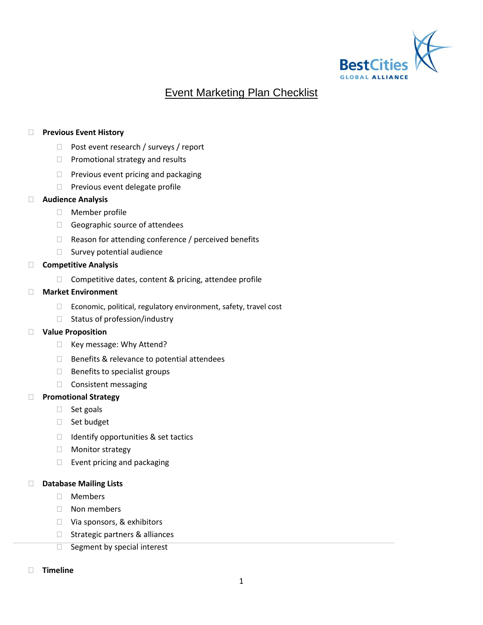

# Event Marketing Plan Checklist

## **Previous Event History**

- □ Post event research / surveys / report
- $\Box$  Promotional strategy and results
- $\Box$  Previous event pricing and packaging
- $\Box$  Previous event delegate profile

## **Audience Analysis**

- Member profile
- Geographic source of attendees
- $\Box$  Reason for attending conference / perceived benefits
- $\Box$  Survey potential audience

## **Competitive Analysis**

 $\Box$  Competitive dates, content & pricing, attendee profile

## **Market Environment**

- □ Economic, political, regulatory environment, safety, travel cost
- $\Box$  Status of profession/industry

## **Value Proposition**

- □ Key message: Why Attend?
- $\Box$  Benefits & relevance to potential attendees
- $\Box$  Benefits to specialist groups
- $\Box$  Consistent messaging

## **Promotional Strategy**

- $\Box$  Set goals
- □ Set budget
- $\Box$  Identify opportunities & set tactics
- Monitor strategy
- $\Box$  Event pricing and packaging

## **Database Mailing Lists**

- Members
- Non members
- □ Via sponsors, & exhibitors
- $\Box$  Strategic partners & alliances
- $\Box$  Segment by special interest
- **Timeline**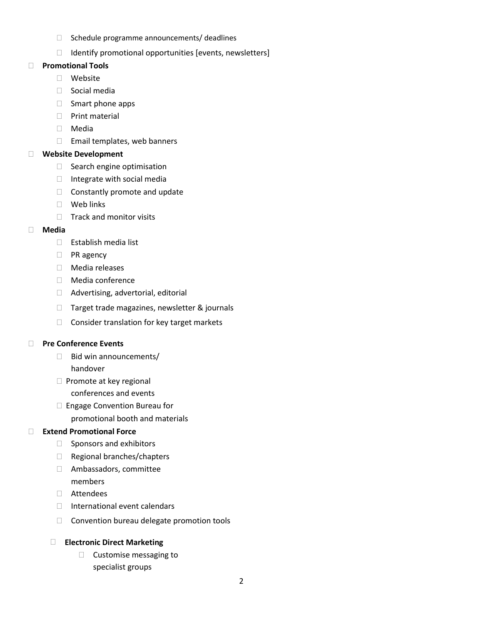- $\Box$  Schedule programme announcements/ deadlines
- $\Box$  Identify promotional opportunities [events, newsletters]

## **Promotional Tools**

- Website
- Social media
- $\Box$  Smart phone apps
- **D** Print material
- Media
- □ Email templates, web banners

# **Website Development**

- □ Search engine optimisation
- $\Box$  Integrate with social media
- $\Box$  Constantly promote and update
- Web links
- $\Box$  Track and monitor visits

# **Media**

- Establish media list
- **D** PR agency
- Media releases
- Media conference
- □ Advertising, advertorial, editorial
- □ Target trade magazines, newsletter & journals
- $\Box$  Consider translation for key target markets

# **Pre Conference Events**

- $\Box$  Bid win announcements/ handover
- $\Box$  Promote at key regional conferences and events
- □ Engage Convention Bureau for promotional booth and materials

# **Extend Promotional Force**

- $\Box$  Sponsors and exhibitors
- □ Regional branches/chapters
- Ambassadors, committee members
- Attendees
- $\Box$  International event calendars
- □ Convention bureau delegate promotion tools

# **Electronic Direct Marketing**

 $\Box$  Customise messaging to specialist groups